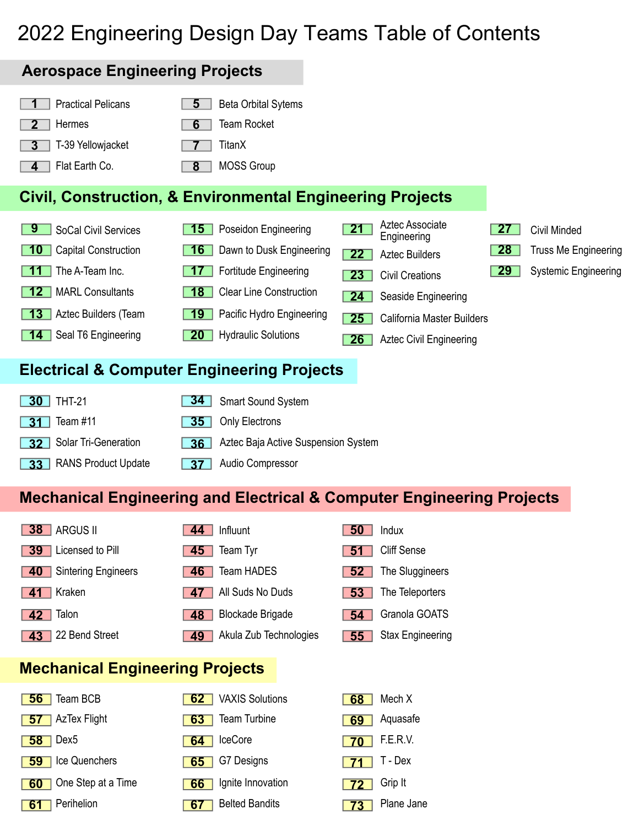## 2022 Engineering Design Day Teams Table of Contents

| <b>Aerospace Engineering Projects</b>                                                                                                                                                                                            |                                                                                                                                                                                                                                                 |                                                                                                                                                                                                              |                                                                                                                    |
|----------------------------------------------------------------------------------------------------------------------------------------------------------------------------------------------------------------------------------|-------------------------------------------------------------------------------------------------------------------------------------------------------------------------------------------------------------------------------------------------|--------------------------------------------------------------------------------------------------------------------------------------------------------------------------------------------------------------|--------------------------------------------------------------------------------------------------------------------|
| <b>Practical Pelicans</b><br>Hermes<br>2<br>T-39 Yellowjacket<br>$\overline{3}$<br>Flat Earth Co.<br>4                                                                                                                           | $5\overline{)}$<br><b>Beta Orbital Sytems</b><br><b>Team Rocket</b><br>6<br>TitanX<br><b>MOSS Group</b><br>$\overline{\mathbf{8}}$                                                                                                              |                                                                                                                                                                                                              |                                                                                                                    |
| <b>Civil, Construction, &amp; Environmental Engineering Projects</b>                                                                                                                                                             |                                                                                                                                                                                                                                                 |                                                                                                                                                                                                              |                                                                                                                    |
| $\overline{9}$<br>SoCal Civil Services<br><b>Capital Construction</b><br> 10 <br>The A-Team Inc.<br>$-11$<br><b>MARL Consultants</b><br>$\overline{12}$<br>Aztec Builders (Team<br>13 <sup>1</sup><br>Seal T6 Engineering<br> 14 | Poseidon Engineering<br> 15 <br> 16 <br>Dawn to Dusk Engineering<br>$\blacksquare$ 17 $\blacksquare$<br>Fortitude Engineering<br>18<br><b>Clear Line Construction</b><br> 19 <br>Pacific Hydro Engineering<br><b>Hydraulic Solutions</b><br> 20 | Aztec Associate<br>21<br>Engineering<br>22<br><b>Aztec Builders</b><br>23<br><b>Civil Creations</b><br>24<br>Seaside Engineering<br>25<br>California Master Builders<br>26<br><b>Aztec Civil Engineering</b> | 27 <sub>2</sub><br>Civil Minded<br>28<br><b>Truss Me Engineering</b><br>$\sqrt{29}$<br><b>Systemic Engineering</b> |
| <b>Electrical &amp; Computer Engineering Projects</b>                                                                                                                                                                            |                                                                                                                                                                                                                                                 |                                                                                                                                                                                                              |                                                                                                                    |
| 30<br><b>THT-21</b><br>Team #11<br>31 <sup>°</sup><br>Solar Tri-Generation<br>32 <sub>2</sub><br><b>RANS Product Update</b><br>33                                                                                                | 34<br><b>Smart Sound System</b><br>35<br>Only Electrons<br>36<br>Aztec Baja Active Suspension System<br>Audio Compressor<br>37 <sup>1</sup>                                                                                                     |                                                                                                                                                                                                              |                                                                                                                    |
| <b>Mechanical Engineering and Electrical &amp; Computer Engineering Projects</b>                                                                                                                                                 |                                                                                                                                                                                                                                                 |                                                                                                                                                                                                              |                                                                                                                    |
| 38 <sup>7</sup><br><b>ARGUS II</b><br>39<br>Licensed to Pill<br>40<br><b>Sintering Engineers</b><br>Kraken<br>41<br>Talon<br>42<br>22 Bend Street<br>$\overline{43}$                                                             | Influunt<br>44<br>45 <sup>7</sup><br>Team Tyr<br>46<br><b>Team HADES</b><br>All Suds No Duds<br>47<br>48<br><b>Blockade Brigade</b><br>Akula Zub Technologies<br>49                                                                             | 50<br>Indux<br>51<br><b>Cliff Sense</b><br>52<br>The Sluggineers<br>53<br>The Teleporters<br>Granola GOATS<br>54<br><b>Stax Engineering</b><br>55                                                            |                                                                                                                    |
| <b>Mechanical Engineering Projects</b>                                                                                                                                                                                           |                                                                                                                                                                                                                                                 |                                                                                                                                                                                                              |                                                                                                                    |
| Team BCB<br>56<br><b>AzTex Flight</b><br>57<br>58<br>Dex <sub>5</sub><br>Ice Quenchers<br>59<br>One Step at a Time<br>60                                                                                                         | 62<br><b>VAXIS Solutions</b><br><b>Team Turbine</b><br>63<br><b>IceCore</b><br>64<br>G7 Designs<br>65<br>Ignite Innovation<br>66                                                                                                                | 68<br>Mech X<br>Aquasafe<br>69<br>F.E.R.V.<br>70<br>T - Dex<br>71<br>Grip It<br>$\overline{72}$                                                                                                              |                                                                                                                    |

**73** Plane Jane

**67** Belted Bandits

**61** Perihelion